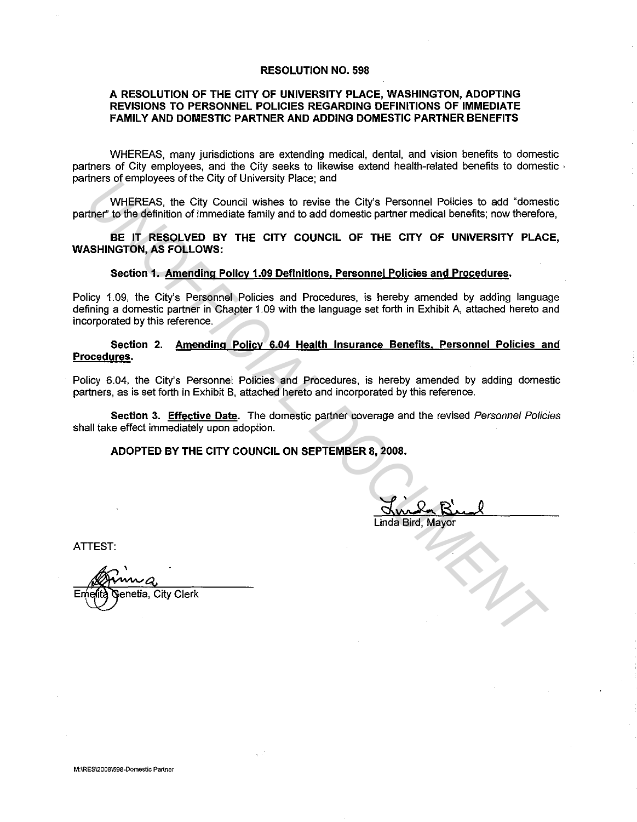#### **RESOLUTION NO. 598**

## **A RESOLUTION OF THE CITY OF UNIVERSITY PLACE, WASHINGTON, ADOPTING REVISIONS TO PERSONNEL POLICIES REGARDING DEFINITIONS OF IMMEDIATE FAMILY AND DOMESTIC PARTNER AND ADDING DOMESTIC PARTNER BENEFITS**

WHEREAS, many jurisdictions are extending medical, dental, and vision benefits to domestic partners of City employees, and the City seeks to likewise extend health-related benefits to domestic · partners of employees of the City of University Place; and

WHEREAS, the City Council wishes to revise the City's Personnel Policies to add "domestic partner'' to the definition of immediate family and to add domestic partner medical benefits; now therefore,

**BE IT RESOLVED BY THE CITY COUNCIL OF THE CITY OF UNIVERSITY PLACE, WASHINGTON, AS FOLLOWS:** 

#### **Section 1. Amending Policy 1.09 Definitions. Personnel Policies and Procedures.**

Policy 1. 09, the City's Personnel Policies and Procedures, is hereby amended by adding language defining a domestic partner in Chapter 1.09 with the language set forth in Exhibit A, attached hereto and incorporated by this reference. **UNIFICIAL Start of the City of University Pract, and City's Personnal Policies to add "domestive" to the distintion of immediate family and to add domestic partner medical benefits, now therefore the UNISHINGTON, AS POLLO** 

### **Section 2. Amending Policy 6.04 Health Insurance Benefits. Personnel Policies and Procedures.**

Policy 6.04, the City's Personnel Policies and Procedures, is hereby amended by adding domestic partners, as is set forth in Exhibit B, attached hereto and incorporated by this reference.

**Section 3. Effective Date.** The domestic partner coverage and the revised Personnel Policies shall take effect immediately upon adoption.

# **ADOPTED BY THE CITY COUNCIL ON SEPTEMBER 8, 2008.**

Linda Bird, Mayor

ATTEST:

' Emelità Genetia, City Clerk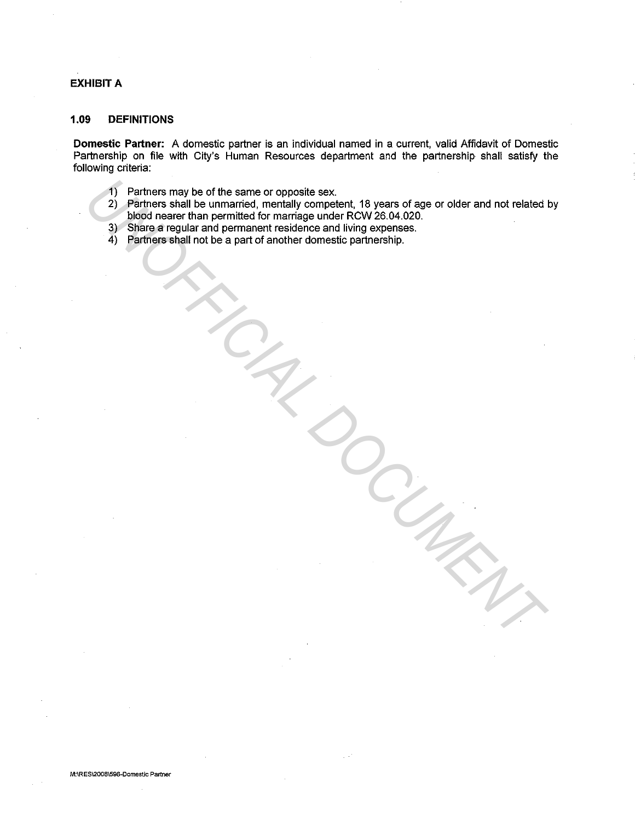## **EXHIBIT A**

## **1.09 DEFINITIONS**

**Domestic Partner:** A domestic partner is an individual named in a current, valid Affidavit of Domestic Partnership on file with City's Human Resources department and the partnership shall satisfy the following criteria:

- 1) Partners may be of the same or opposite sex.
- 2) Partners shall be unmarried, mentally competent, 18 years of age or older and not related by blood nearer than permitted for marriage under RCW 26.04.020. The Patriors may be of the same or opposite sex.<br>
2) Perfiners thall be unimarined, mentally competient, 19 years of age or older and not related by blood nearer than permitted for marriage under RCW 26.04.020.<br>
3) Share a
	- 3) Share a regular and permanent residence and living expenses.
	- 4) Partners shall not be a part of another domestic partnership.